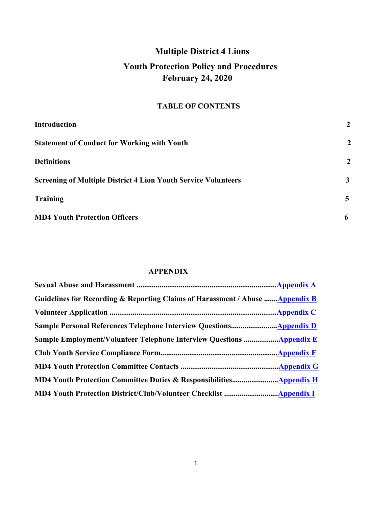# **Multiple District 4 Lions**

# **Youth Protection Policy and Procedures February 24, 2020**

## **TABLE OF CONTENTS**

| <b>Introduction</b>                                                   | $\boldsymbol{2}$ |
|-----------------------------------------------------------------------|------------------|
| <b>Statement of Conduct for Working with Youth</b>                    | $\overline{2}$   |
| <b>Definitions</b>                                                    | $\overline{2}$   |
| <b>Screening of Multiple District 4 Lion Youth Service Volunteers</b> | 3                |
| <b>Training</b>                                                       | $\overline{5}$   |
| <b>MD4 Youth Protection Officers</b>                                  | 6                |

## **APPENDIX**

| Guidelines for Recording & Reporting Claims of Harassment / Abuse Appendix B |            |
|------------------------------------------------------------------------------|------------|
|                                                                              |            |
|                                                                              |            |
| <b>Sample Employment/Volunteer Telephone Interview Questions Appendix E</b>  |            |
|                                                                              |            |
|                                                                              | Appendix G |
|                                                                              |            |
|                                                                              |            |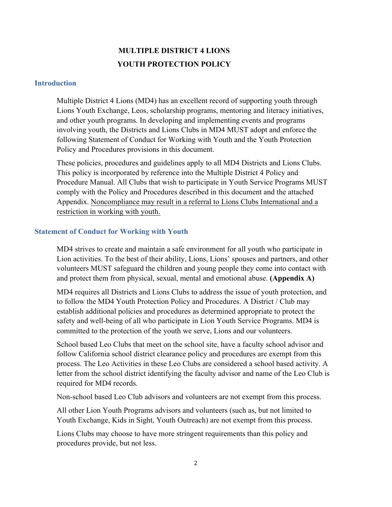# **MULTIPLE DISTRICT 4 LIONS YOUTH PROTECTION POLICY**

### **Introduction**

Multiple District 4 Lions (MD4) has an excellent record of supporting youth through Lions Youth Exchange, Leos, scholarship programs, mentoring and literacy initiatives, and other youth programs. In developing and implementing events and programs involving youth, the Districts and Lions Clubs in MD4 MUST adopt and enforce the following Statement of Conduct for Working with Youth and the Youth Protection Policy and Procedures provisions in this document.

These policies, procedures and guidelines apply to all MD4 Districts and Lions Clubs. This policy is incorporated by reference into the Multiple District 4 Policy and Procedure Manual. All Clubs that wish to participate in Youth Service Programs MUST comply with the Policy and Procedures described in this document and the attached Appendix. Noncompliance may result in a referral to Lions Clubs International and a restriction in working with youth.

#### **Statement of Conduct for Working with Youth**

MD4 strives to create and maintain a safe environment for all youth who participate in Lion activities. To the best of their ability, Lions, Lions' spouses and partners, and other volunteers MUST safeguard the children and young people they come into contact with and protect them from physical, sexual, mental and emotional abuse. **(Appendix A)**

MD4 requires all Districts and Lions Clubs to address the issue of youth protection, and to follow the MD4 Youth Protection Policy and Procedures. A District / Club may establish additional policies and procedures as determined appropriate to protect the safety and well-being of all who participate in Lion Youth Service Programs. MD4 is committed to the protection of the youth we serve, Lions and our volunteers.

School based Leo Clubs that meet on the school site, have a faculty school advisor and follow California school district clearance policy and procedures are exempt from this process. The Leo Activities in these Leo Clubs are considered a school based activity. A letter from the school district identifying the faculty advisor and name of the Leo Club is required for MD4 records.

Non-school based Leo Club advisors and volunteers are not exempt from this process.

All other Lion Youth Programs advisors and volunteers (such as, but not limited to Youth Exchange, Kids in Sight, Youth Outreach) are not exempt from this process.

Lions Clubs may choose to have more stringent requirements than this policy and procedures provide, but not less.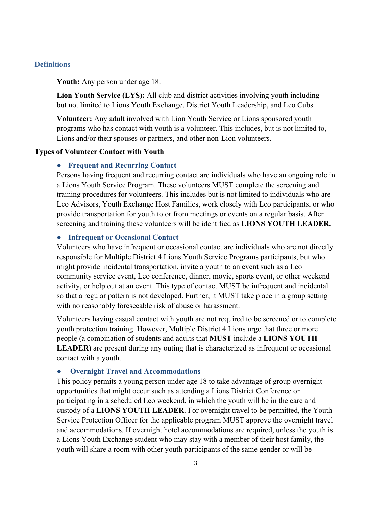### **Definitions**

#### **Youth:** Any person under age 18.

**Lion Youth Service (LYS):** All club and district activities involving youth including but not limited to Lions Youth Exchange, District Youth Leadership, and Leo Cubs.

**Volunteer:** Any adult involved with Lion Youth Service or Lions sponsored youth programs who has contact with youth is a volunteer. This includes, but is not limited to, Lions and/or their spouses or partners, and other non-Lion volunteers.

#### **Types of Volunteer Contact with Youth**

#### ● **Frequent and Recurring Contact**

Persons having frequent and recurring contact are individuals who have an ongoing role in a Lions Youth Service Program. These volunteers MUST complete the screening and training procedures for volunteers. This includes but is not limited to individuals who are Leo Advisors, Youth Exchange Host Families, work closely with Leo participants, or who provide transportation for youth to or from meetings or events on a regular basis. After screening and training these volunteers will be identified as **LIONS YOUTH LEADER.**

#### ● **Infrequent or Occasional Contact**

Volunteers who have infrequent or occasional contact are individuals who are not directly responsible for Multiple District 4 Lions Youth Service Programs participants, but who might provide incidental transportation, invite a youth to an event such as a Leo community service event, Leo conference, dinner, movie, sports event, or other weekend activity, or help out at an event. This type of contact MUST be infrequent and incidental so that a regular pattern is not developed. Further, it MUST take place in a group setting with no reasonably foreseeable risk of abuse or harassment.

Volunteers having casual contact with youth are not required to be screened or to complete youth protection training. However, Multiple District 4 Lions urge that three or more people (a combination of students and adults that **MUST** include a **LIONS YOUTH LEADER**) are present during any outing that is characterized as infrequent or occasional contact with a youth.

#### ● **Overnight Travel and Accommodations**

This policy permits a young person under age 18 to take advantage of group overnight opportunities that might occur such as attending a Lions District Conference or participating in a scheduled Leo weekend, in which the youth will be in the care and custody of a **LIONS YOUTH LEADER**. For overnight travel to be permitted, the Youth Service Protection Officer for the applicable program MUST approve the overnight travel and accommodations. If overnight hotel accommodations are required, unless the youth is a Lions Youth Exchange student who may stay with a member of their host family, the youth will share a room with other youth participants of the same gender or will be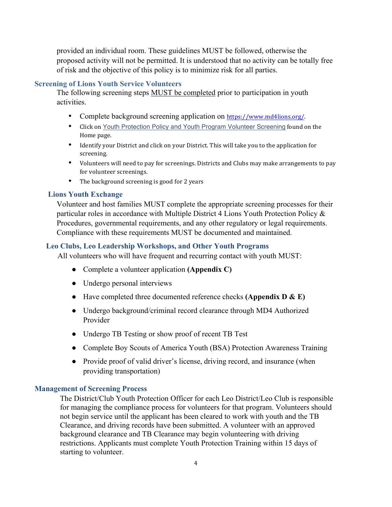provided an individual room. These guidelines MUST be followed, otherwise the proposed activity will not be permitted. It is understood that no activity can be totally free of risk and the objective of this policy is to minimize risk for all parties.

### **Screening of Lions Youth Service Volunteers**

The following screening steps MUST be completed prior to participation in youth activities.

- Complete background screening application on https://www.md4lions.org/.
- Click on Youth Protection Policy and Youth Program Volunteer Screening found on the Home page.
- Identify your District and click on your District. This will take you to the application for screening.
- Volunteers will need to pay for screenings. Districts and Clubs may make arrangements to pay for volunteer screenings.
- The background screening is good for 2 years

### **Lions Youth Exchange**

Volunteer and host families MUST complete the appropriate screening processes for their particular roles in accordance with Multiple District 4 Lions Youth Protection Policy & Procedures, governmental requirements, and any other regulatory or legal requirements. Compliance with these requirements MUST be documented and maintained.

### **Leo Clubs, Leo Leadership Workshops, and Other Youth Programs**

All volunteers who will have frequent and recurring contact with youth MUST:

- Complete a volunteer application **(Appendix C)**
- Undergo personal interviews
- Have completed three documented reference checks **(Appendix D & E)**
- Undergo background/criminal record clearance through MD4 Authorized Provider
- Undergo TB Testing or show proof of recent TB Test
- Complete Boy Scouts of America Youth (BSA) Protection Awareness Training
- Provide proof of valid driver's license, driving record, and insurance (when providing transportation)

### **Management of Screening Process**

The District/Club Youth Protection Officer for each Leo District/Leo Club is responsible for managing the compliance process for volunteers for that program. Volunteers should not begin service until the applicant has been cleared to work with youth and the TB Clearance, and driving records have been submitted. A volunteer with an approved background clearance and TB Clearance may begin volunteering with driving restrictions. Applicants must complete Youth Protection Training within 15 days of starting to volunteer.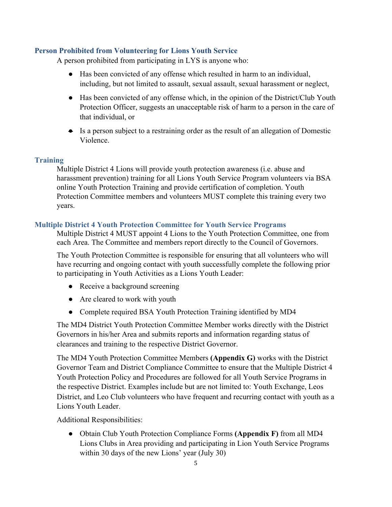### **Person Prohibited from Volunteering for Lions Youth Service**

A person prohibited from participating in LYS is anyone who:

- Has been convicted of any offense which resulted in harm to an individual, including, but not limited to assault, sexual assault, sexual harassment or neglect,
- Has been convicted of any offense which, in the opinion of the District/Club Youth Protection Officer, suggests an unacceptable risk of harm to a person in the care of that individual, or
- Is a person subject to a restraining order as the result of an allegation of Domestic Violence.

### **Training**

Multiple District 4 Lions will provide youth protection awareness (i.e. abuse and harassment prevention) training for all Lions Youth Service Program volunteers via BSA online Youth Protection Training and provide certification of completion. Youth Protection Committee members and volunteers MUST complete this training every two years.

### **Multiple District 4 Youth Protection Committee for Youth Service Programs**

Multiple District 4 MUST appoint 4 Lions to the Youth Protection Committee, one from each Area. The Committee and members report directly to the Council of Governors.

The Youth Protection Committee is responsible for ensuring that all volunteers who will have recurring and ongoing contact with youth successfully complete the following prior to participating in Youth Activities as a Lions Youth Leader:

- Receive a background screening
- Are cleared to work with youth
- Complete required BSA Youth Protection Training identified by MD4

The MD4 District Youth Protection Committee Member works directly with the District Governors in his/her Area and submits reports and information regarding status of clearances and training to the respective District Governor.

The MD4 Youth Protection Committee Members **(Appendix G)** works with the District Governor Team and District Compliance Committee to ensure that the Multiple District 4 Youth Protection Policy and Procedures are followed for all Youth Service Programs in the respective District. Examples include but are not limited to: Youth Exchange, Leos District, and Leo Club volunteers who have frequent and recurring contact with youth as a Lions Youth Leader.

Additional Responsibilities:

● Obtain Club Youth Protection Compliance Forms **(Appendix F)** from all MD4 Lions Clubs in Area providing and participating in Lion Youth Service Programs within 30 days of the new Lions' year (July 30)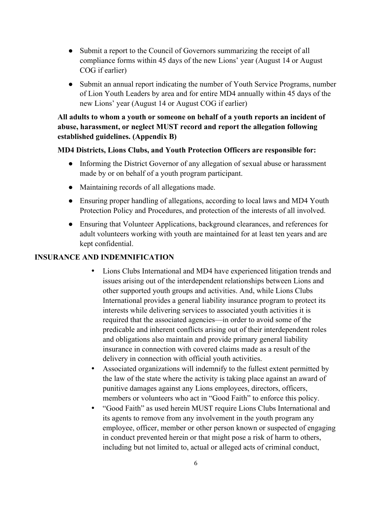- Submit a report to the Council of Governors summarizing the receipt of all compliance forms within 45 days of the new Lions' year (August 14 or August COG if earlier)
- Submit an annual report indicating the number of Youth Service Programs, number of Lion Youth Leaders by area and for entire MD4 annually within 45 days of the new Lions' year (August 14 or August COG if earlier)

## **All adults to whom a youth or someone on behalf of a youth reports an incident of abuse, harassment, or neglect MUST record and report the allegation following established guidelines. (Appendix B)**

### **MD4 Districts, Lions Clubs, and Youth Protection Officers are responsible for:**

- Informing the District Governor of any allegation of sexual abuse or harassment made by or on behalf of a youth program participant.
- Maintaining records of all allegations made.
- Ensuring proper handling of allegations, according to local laws and MD4 Youth Protection Policy and Procedures, and protection of the interests of all involved.
- Ensuring that Volunteer Applications, background clearances, and references for adult volunteers working with youth are maintained for at least ten years and are kept confidential.

## **INSURANCE AND INDEMNIFICATION**

- Lions Clubs International and MD4 have experienced litigation trends and issues arising out of the interdependent relationships between Lions and other supported youth groups and activities. And, while Lions Clubs International provides a general liability insurance program to protect its interests while delivering services to associated youth activities it is required that the associated agencies—in order to avoid some of the predicable and inherent conflicts arising out of their interdependent roles and obligations also maintain and provide primary general liability insurance in connection with covered claims made as a result of the delivery in connection with official youth activities.
- Associated organizations will indemnify to the fullest extent permitted by the law of the state where the activity is taking place against an award of punitive damages against any Lions employees, directors, officers, members or volunteers who act in "Good Faith" to enforce this policy.
- "Good Faith" as used herein MUST require Lions Clubs International and its agents to remove from any involvement in the youth program any employee, officer, member or other person known or suspected of engaging in conduct prevented herein or that might pose a risk of harm to others, including but not limited to, actual or alleged acts of criminal conduct,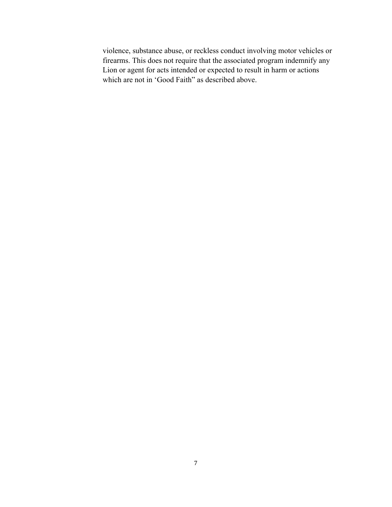violence, substance abuse, or reckless conduct involving motor vehicles or firearms. This does not require that the associated program indemnify any Lion or agent for acts intended or expected to result in harm or actions which are not in 'Good Faith" as described above.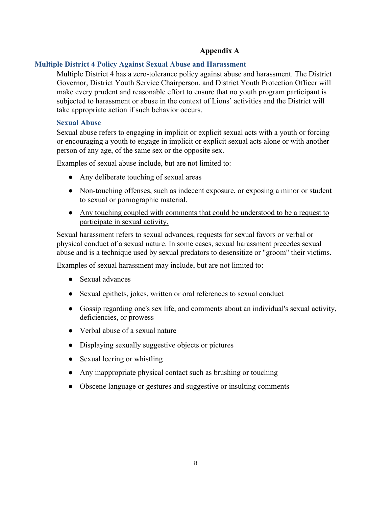## **Appendix A**

### **Multiple District 4 Policy Against Sexual Abuse and Harassment**

Multiple District 4 has a zero-tolerance policy against abuse and harassment. The District Governor, District Youth Service Chairperson, and District Youth Protection Officer will make every prudent and reasonable effort to ensure that no youth program participant is subjected to harassment or abuse in the context of Lions' activities and the District will take appropriate action if such behavior occurs.

### **Sexual Abuse**

Sexual abuse refers to engaging in implicit or explicit sexual acts with a youth or forcing or encouraging a youth to engage in implicit or explicit sexual acts alone or with another person of any age, of the same sex or the opposite sex.

Examples of sexual abuse include, but are not limited to:

- Any deliberate touching of sexual areas
- Non-touching offenses, such as indecent exposure, or exposing a minor or student to sexual or pornographic material.
- Any touching coupled with comments that could be understood to be a request to participate in sexual activity.

Sexual harassment refers to sexual advances, requests for sexual favors or verbal or physical conduct of a sexual nature. In some cases, sexual harassment precedes sexual abuse and is a technique used by sexual predators to desensitize or "groom" their victims.

Examples of sexual harassment may include, but are not limited to:

- Sexual advances
- Sexual epithets, jokes, written or oral references to sexual conduct
- Gossip regarding one's sex life, and comments about an individual's sexual activity, deficiencies, or prowess
- Verbal abuse of a sexual nature
- Displaying sexually suggestive objects or pictures
- Sexual leering or whistling
- Any inappropriate physical contact such as brushing or touching
- Obscene language or gestures and suggestive or insulting comments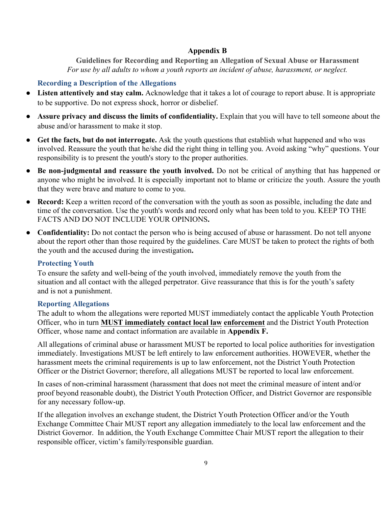## **Appendix B**

**Guidelines for Recording and Reporting an Allegation of Sexual Abuse or Harassment** *For use by all adults to whom a youth reports an incident of abuse, harassment, or neglect.*

## **Recording a Description of the Allegations**

- **Listen attentively and stay calm.** Acknowledge that it takes a lot of courage to report abuse. It is appropriate to be supportive. Do not express shock, horror or disbelief.
- **Assure privacy and discuss the limits of confidentiality.** Explain that you will have to tell someone about the abuse and/or harassment to make it stop.
- **Get the facts, but do not interrogate.** Ask the youth questions that establish what happened and who was involved. Reassure the youth that he/she did the right thing in telling you. Avoid asking "why" questions. Your responsibility is to present the youth's story to the proper authorities.
- **Be non-judgmental and reassure the youth involved.** Do not be critical of anything that has happened or anyone who might be involved. It is especially important not to blame or criticize the youth. Assure the youth that they were brave and mature to come to you.
- **Record:** Keep a written record of the conversation with the youth as soon as possible, including the date and time of the conversation. Use the youth's words and record only what has been told to you. KEEP TO THE FACTS AND DO NOT INCLUDE YOUR OPINIONS**.**
- **Confidentiality:** Do not contact the person who is being accused of abuse or harassment. Do not tell anyone about the report other than those required by the guidelines. Care MUST be taken to protect the rights of both the youth and the accused during the investigation**.**

## **Protecting Youth**

To ensure the safety and well-being of the youth involved, immediately remove the youth from the situation and all contact with the alleged perpetrator. Give reassurance that this is for the youth's safety and is not a punishment.

## **Reporting Allegations**

The adult to whom the allegations were reported MUST immediately contact the applicable Youth Protection Officer, who in turn **MUST immediately contact local law enforcement** and the District Youth Protection Officer, whose name and contact information are available in **Appendix F.**

All allegations of criminal abuse or harassment MUST be reported to local police authorities for investigation immediately. Investigations MUST be left entirely to law enforcement authorities. HOWEVER, whether the harassment meets the criminal requirements is up to law enforcement, not the District Youth Protection Officer or the District Governor; therefore, all allegations MUST be reported to local law enforcement.

In cases of non-criminal harassment (harassment that does not meet the criminal measure of intent and/or proof beyond reasonable doubt), the District Youth Protection Officer, and District Governor are responsible for any necessary follow-up.

If the allegation involves an exchange student, the District Youth Protection Officer and/or the Youth Exchange Committee Chair MUST report any allegation immediately to the local law enforcement and the District Governor. In addition, the Youth Exchange Committee Chair MUST report the allegation to their responsible officer, victim's family/responsible guardian.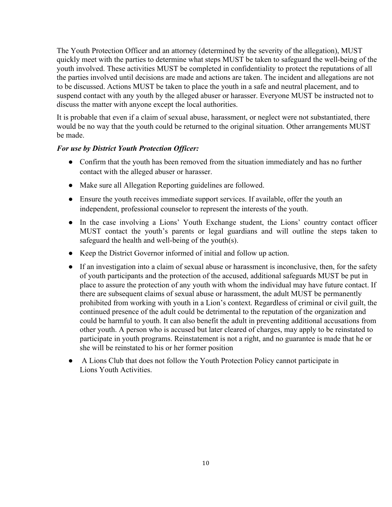The Youth Protection Officer and an attorney (determined by the severity of the allegation), MUST quickly meet with the parties to determine what steps MUST be taken to safeguard the well-being of the youth involved. These activities MUST be completed in confidentiality to protect the reputations of all the parties involved until decisions are made and actions are taken. The incident and allegations are not to be discussed. Actions MUST be taken to place the youth in a safe and neutral placement, and to suspend contact with any youth by the alleged abuser or harasser. Everyone MUST be instructed not to discuss the matter with anyone except the local authorities.

It is probable that even if a claim of sexual abuse, harassment, or neglect were not substantiated, there would be no way that the youth could be returned to the original situation. Other arrangements MUST be made.

### *For use by District Youth Protection Officer:*

- Confirm that the youth has been removed from the situation immediately and has no further contact with the alleged abuser or harasser.
- Make sure all Allegation Reporting guidelines are followed.
- Ensure the youth receives immediate support services. If available, offer the youth an independent, professional counselor to represent the interests of the youth.
- In the case involving a Lions' Youth Exchange student, the Lions' country contact officer MUST contact the youth's parents or legal guardians and will outline the steps taken to safeguard the health and well-being of the youth(s).
- Keep the District Governor informed of initial and follow up action.
- If an investigation into a claim of sexual abuse or harassment is inconclusive, then, for the safety of youth participants and the protection of the accused, additional safeguards MUST be put in place to assure the protection of any youth with whom the individual may have future contact. If there are subsequent claims of sexual abuse or harassment, the adult MUST be permanently prohibited from working with youth in a Lion's context. Regardless of criminal or civil guilt, the continued presence of the adult could be detrimental to the reputation of the organization and could be harmful to youth. It can also benefit the adult in preventing additional accusations from other youth. A person who is accused but later cleared of charges, may apply to be reinstated to participate in youth programs. Reinstatement is not a right, and no guarantee is made that he or she will be reinstated to his or her former position
- A Lions Club that does not follow the Youth Protection Policy cannot participate in Lions Youth Activities.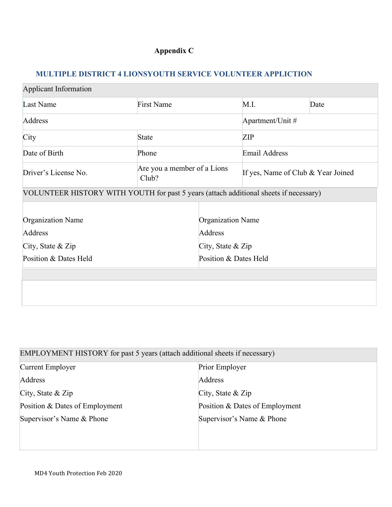# **Appendix C**

# **MULTIPLE DISTRICT 4 LIONSYOUTH SERVICE VOLUNTEER APPLICTION**

| <b>Applicant Information</b>                                                          |              |                              |                   |                                    |  |      |
|---------------------------------------------------------------------------------------|--------------|------------------------------|-------------------|------------------------------------|--|------|
| Last Name                                                                             |              | <b>First Name</b>            |                   | M.I.                               |  | Date |
| Address                                                                               |              |                              |                   | Apartment/Unit #                   |  |      |
| City                                                                                  | <b>State</b> |                              |                   | <b>ZIP</b>                         |  |      |
| Date of Birth                                                                         | Phone        |                              |                   | <b>Email Address</b>               |  |      |
| Driver's License No.                                                                  | Club?        | Are you a member of a Lions  |                   | If yes, Name of Club & Year Joined |  |      |
| VOLUNTEER HISTORY WITH YOUTH for past 5 years (attach additional sheets if necessary) |              |                              |                   |                                    |  |      |
|                                                                                       |              |                              |                   |                                    |  |      |
| Organization Name<br>Address                                                          |              | Organization Name<br>Address |                   |                                    |  |      |
| City, State $&$ Zip                                                                   |              |                              | City, State & Zip |                                    |  |      |
| Position & Dates Held                                                                 |              | Position & Dates Held        |                   |                                    |  |      |
|                                                                                       |              |                              |                   |                                    |  |      |
|                                                                                       |              |                              |                   |                                    |  |      |
|                                                                                       |              |                              |                   |                                    |  |      |

| EMPLOYMENT HISTORY for past 5 years (attach additional sheets if necessary) |                                |
|-----------------------------------------------------------------------------|--------------------------------|
| Current Employer                                                            | Prior Employer                 |
| Address                                                                     | Address                        |
| City, State $&$ Zip                                                         | City, State $&$ Zip            |
| Position & Dates of Employment                                              | Position & Dates of Employment |
| Supervisor's Name & Phone                                                   | Supervisor's Name & Phone      |
|                                                                             |                                |
|                                                                             |                                |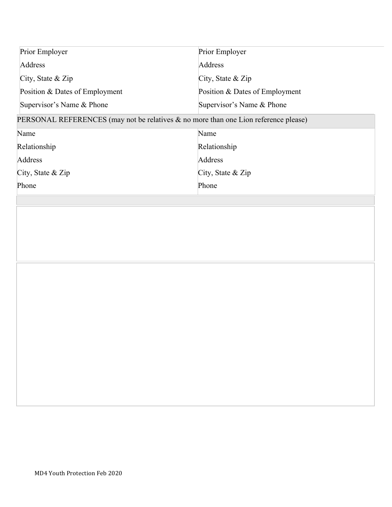| Prior Employer                 | Prior Employer                 |
|--------------------------------|--------------------------------|
| Address                        | Address                        |
| City, State $&$ Zip            | City, State $&$ Zip            |
| Position & Dates of Employment | Position & Dates of Employment |
| Supervisor's Name & Phone      | Supervisor's Name & Phone      |

# PERSONAL REFERENCES (may not be relatives & no more than one Lion reference please)

| Name                | Name                |
|---------------------|---------------------|
| Relationship        | Relationship        |
| Address             | Address             |
| City, State $&$ Zip | City, State $&$ Zip |
| Phone               | Phone               |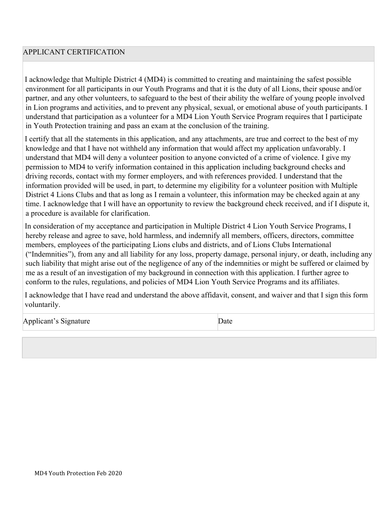## APPLICANT CERTIFICATION

I acknowledge that Multiple District 4 (MD4) is committed to creating and maintaining the safest possible environment for all participants in our Youth Programs and that it is the duty of all Lions, their spouse and/or partner, and any other volunteers, to safeguard to the best of their ability the welfare of young people involved in Lion programs and activities, and to prevent any physical, sexual, or emotional abuse of youth participants. I understand that participation as a volunteer for a MD4 Lion Youth Service Program requires that I participate in Youth Protection training and pass an exam at the conclusion of the training.

I certify that all the statements in this application, and any attachments, are true and correct to the best of my knowledge and that I have not withheld any information that would affect my application unfavorably. I understand that MD4 will deny a volunteer position to anyone convicted of a crime of violence. I give my permission to MD4 to verify information contained in this application including background checks and driving records, contact with my former employers, and with references provided. I understand that the information provided will be used, in part, to determine my eligibility for a volunteer position with Multiple District 4 Lions Clubs and that as long as I remain a volunteer, this information may be checked again at any time. I acknowledge that I will have an opportunity to review the background check received, and if I dispute it, a procedure is available for clarification.

In consideration of my acceptance and participation in Multiple District 4 Lion Youth Service Programs, I hereby release and agree to save, hold harmless, and indemnify all members, officers, directors, committee members, employees of the participating Lions clubs and districts, and of Lions Clubs International ("Indemnities"), from any and all liability for any loss, property damage, personal injury, or death, including any such liability that might arise out of the negligence of any of the indemnities or might be suffered or claimed by me as a result of an investigation of my background in connection with this application. I further agree to conform to the rules, regulations, and policies of MD4 Lion Youth Service Programs and its affiliates.

I acknowledge that I have read and understand the above affidavit, consent, and waiver and that I sign this form voluntarily.

Applicant's Signature Date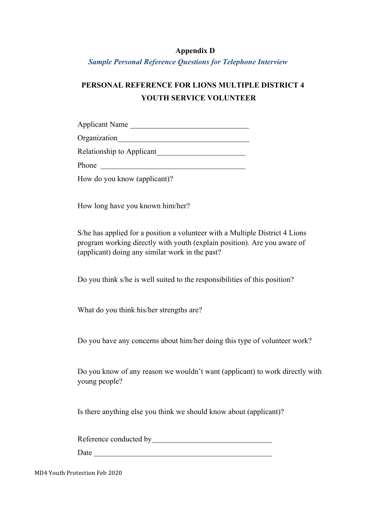### **Appendix D**

*Sample Personal Reference Questions for Telephone Interview*

# **PERSONAL REFERENCE FOR LIONS MULTIPLE DISTRICT 4 YOUTH SERVICE VOLUNTEER**

Applicant Name

Organization

Relationship to Applicant

Phone **Phone** 

How do you know (applicant)?

How long have you known him/her?

S/he has applied for a position a volunteer with a Multiple District 4 Lions program working directly with youth (explain position). Are you aware of (applicant) doing any similar work in the past?

Do you think s/he is well suited to the responsibilities of this position?

What do you think his/her strengths are?

Do you have any concerns about him/her doing this type of volunteer work?

Do you know of any reason we wouldn't want (applicant) to work directly with young people?

Is there anything else you think we should know about (applicant)?

Reference conducted by extension of the state of the state of the state of the state of the state of the state of the state of the state of the state of the state of the state of the state of the state of the state of the

Date and the set of the set of the set of the set of the set of the set of the set of the set of the set of the set of the set of the set of the set of the set of the set of the set of the set of the set of the set of the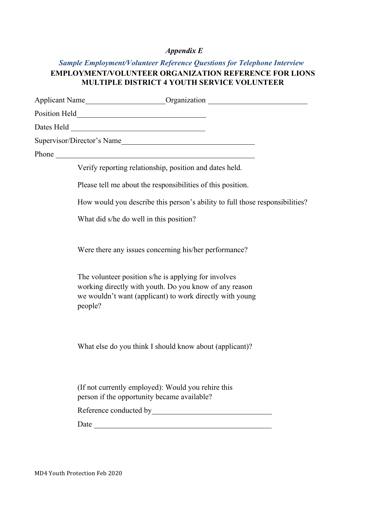## *Appendix E*

# *Sample Employment/Volunteer Reference Questions for Telephone Interview* **EMPLOYMENT/VOLUNTEER ORGANIZATION REFERENCE FOR LIONS MULTIPLE DISTRICT 4 YOUTH SERVICE VOLUNTEER**

|       | Applicant Name Contact Name Contact Name Contact Name Contact Name Contact Name Contact Name Contact Name Contact Name Contact Name Contact Name Contact Name Contact Name Contact Name Contact Name Contact Name Contact Name |
|-------|--------------------------------------------------------------------------------------------------------------------------------------------------------------------------------------------------------------------------------|
|       |                                                                                                                                                                                                                                |
|       |                                                                                                                                                                                                                                |
|       | Supervisor/Director's Name                                                                                                                                                                                                     |
| Phone |                                                                                                                                                                                                                                |
|       | Verify reporting relationship, position and dates held.                                                                                                                                                                        |
|       | Please tell me about the responsibilities of this position.                                                                                                                                                                    |
|       | How would you describe this person's ability to full those responsibilities?                                                                                                                                                   |
|       | What did s/he do well in this position?                                                                                                                                                                                        |
|       | Were there any issues concerning his/her performance?                                                                                                                                                                          |
|       | The volunteer position s/he is applying for involves<br>working directly with youth. Do you know of any reason<br>we wouldn't want (applicant) to work directly with young<br>people?                                          |
|       | What else do you think I should know about (applicant)?                                                                                                                                                                        |
|       | (If not currently employed): Would you rehire this<br>person if the opportunity became available?                                                                                                                              |
|       |                                                                                                                                                                                                                                |
|       | <u> 1989 - Johann Barbara, martxa amerikan personal (h. 1989).</u><br>Date                                                                                                                                                     |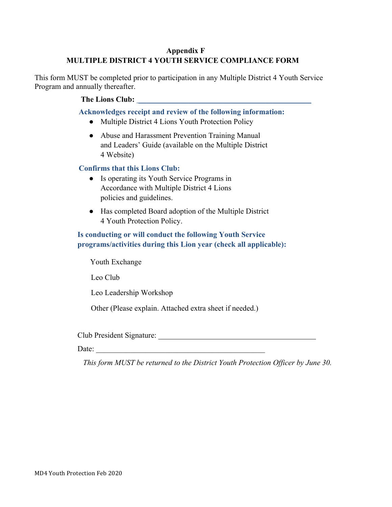## **Appendix F MULTIPLE DISTRICT 4 YOUTH SERVICE COMPLIANCE FORM**

This form MUST be completed prior to participation in any Multiple District 4 Youth Service Program and annually thereafter.

### The Lions Club: **and Linear Club**: *leader*  $\blacksquare$

**Acknowledges receipt and review of the following information:**

- Multiple District 4 Lions Youth Protection Policy
- Abuse and Harassment Prevention Training Manual and Leaders' Guide (available on the Multiple District 4 Website)

### **Confirms that this Lions Club:**

- Is operating its Youth Service Programs in Accordance with Multiple District 4 Lions policies and guidelines.
- Has completed Board adoption of the Multiple District 4 Youth Protection Policy.

## **Is conducting or will conduct the following Youth Service programs/activities during this Lion year (check all applicable):**

Youth Exchange

Leo Club

Leo Leadership Workshop

Other (Please explain. Attached extra sheet if needed.)

Club President Signature:

Date:

*This form MUST be returned to the District Youth Protection Officer by June 30.*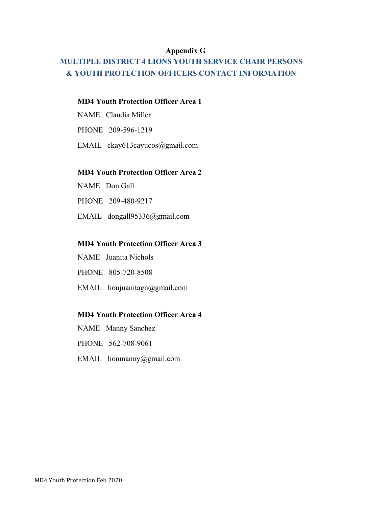### **Appendix G**

# **MULTIPLE DISTRICT 4 LIONS YOUTH SERVICE CHAIR PERSONS & YOUTH PROTECTION OFFICERS CONTACT INFORMATION**

### **MD4 Youth Protection Officer Area 1**

NAME Claudia Miller

PHONE 209-596-1219

EMAIL ckay613cayucos@gmail.com

### **MD4 Youth Protection Officer Area 2**

NAME Don Gall

PHONE 209-480-9217

EMAIL dongall95336@gmail.com

### **MD4 Youth Protection Officer Area 3**

NAME Juanita Nichols

PHONE 805-720-8508

EMAIL lionjuanitagn@gmail.com

## **MD4 Youth Protection Officer Area 4**

- NAME Manny Sanchez
- PHONE 562-708-9061
- EMAIL lionmanny@gmail.com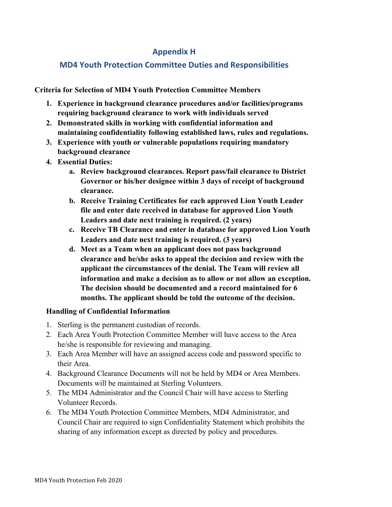## **Appendix H**

# **MD4 Youth Protection Committee Duties and Responsibilities**

**Criteria for Selection of MD4 Youth Protection Committee Members**

- **1. Experience in background clearance procedures and/or facilities/programs requiring background clearance to work with individuals served**
- **2. Demonstrated skills in working with confidential information and maintaining confidentiality following established laws, rules and regulations.**
- **3. Experience with youth or vulnerable populations requiring mandatory background clearance**
- **4. Essential Duties:** 
	- **a. Review background clearances. Report pass/fail clearance to District Governor or his/her designee within 3 days of receipt of background clearance.**
	- **b. Receive Training Certificates for each approved Lion Youth Leader file and enter date received in database for approved Lion Youth Leaders and date next training is required. (2 years)**
	- **c. Receive TB Clearance and enter in database for approved Lion Youth Leaders and date next training is required. (3 years)**
	- **d. Meet as a Team when an applicant does not pass background clearance and he/she asks to appeal the decision and review with the applicant the circumstances of the denial. The Team will review all information and make a decision as to allow or not allow an exception. The decision should be documented and a record maintained for 6 months. The applicant should be told the outcome of the decision.**

## **Handling of Confidential Information**

- 1. Sterling is the permanent custodian of records.
- 2. Each Area Youth Protection Committee Member will have access to the Area he/she is responsible for reviewing and managing.
- 3. Each Area Member will have an assigned access code and password specific to their Area.
- 4. Background Clearance Documents will not be held by MD4 or Area Members. Documents will be maintained at Sterling Volunteers.
- 5. The MD4 Administrator and the Council Chair will have access to Sterling Volunteer Records.
- 6. The MD4 Youth Protection Committee Members, MD4 Administrator, and Council Chair are required to sign Confidentiality Statement which prohibits the sharing of any information except as directed by policy and procedures.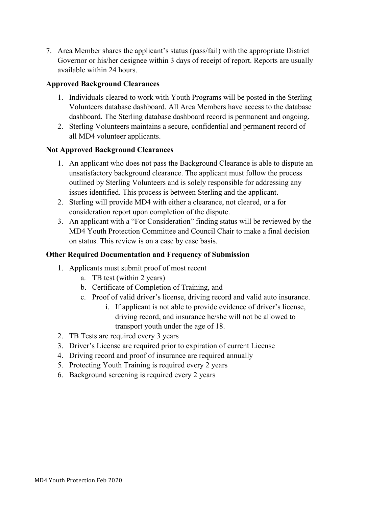7. Area Member shares the applicant's status (pass/fail) with the appropriate District Governor or his/her designee within 3 days of receipt of report. Reports are usually available within 24 hours.

### **Approved Background Clearances**

- 1. Individuals cleared to work with Youth Programs will be posted in the Sterling Volunteers database dashboard. All Area Members have access to the database dashboard. The Sterling database dashboard record is permanent and ongoing.
- 2. Sterling Volunteers maintains a secure, confidential and permanent record of all MD4 volunteer applicants.

### **Not Approved Background Clearances**

- 1. An applicant who does not pass the Background Clearance is able to dispute an unsatisfactory background clearance. The applicant must follow the process outlined by Sterling Volunteers and is solely responsible for addressing any issues identified. This process is between Sterling and the applicant.
- 2. Sterling will provide MD4 with either a clearance, not cleared, or a for consideration report upon completion of the dispute.
- 3. An applicant with a "For Consideration" finding status will be reviewed by the MD4 Youth Protection Committee and Council Chair to make a final decision on status. This review is on a case by case basis.

### **Other Required Documentation and Frequency of Submission**

- 1. Applicants must submit proof of most recent
	- a. TB test (within 2 years)
	- b. Certificate of Completion of Training, and
	- c. Proof of valid driver's license, driving record and valid auto insurance.
		- i. If applicant is not able to provide evidence of driver's license, driving record, and insurance he/she will not be allowed to transport youth under the age of 18.
- 2. TB Tests are required every 3 years
- 3. Driver's License are required prior to expiration of current License
- 4. Driving record and proof of insurance are required annually
- 5. Protecting Youth Training is required every 2 years
- 6. Background screening is required every 2 years